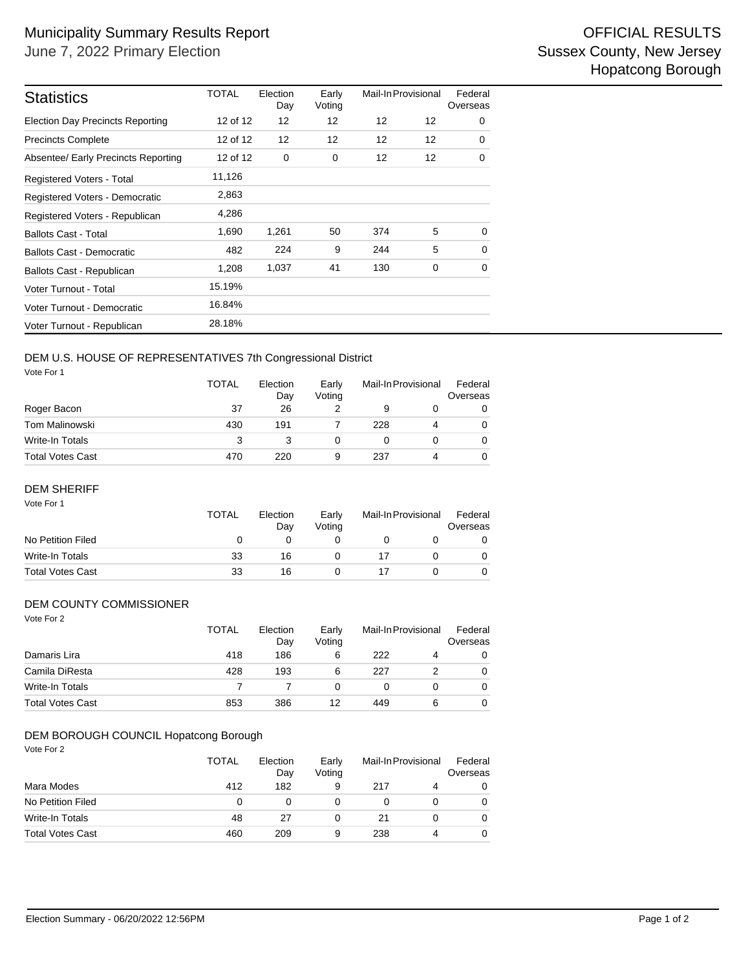| <b>Statistics</b>                       | <b>TOTAL</b> | Election<br>Day | Early<br>Voting | Mail-In Provisional |    | Federal<br>Overseas |  |
|-----------------------------------------|--------------|-----------------|-----------------|---------------------|----|---------------------|--|
| <b>Election Day Precincts Reporting</b> | 12 of 12     | 12              | 12              | 12                  | 12 | 0                   |  |
| <b>Precincts Complete</b>               | 12 of 12     | 12              | 12              | $12 \overline{ }$   | 12 | 0                   |  |
| Absentee/ Early Precincts Reporting     | 12 of 12     | 0               | 0               | $12 \overline{ }$   | 12 | 0                   |  |
| Registered Voters - Total               | 11,126       |                 |                 |                     |    |                     |  |
| Registered Voters - Democratic          | 2,863        |                 |                 |                     |    |                     |  |
| Registered Voters - Republican          | 4,286        |                 |                 |                     |    |                     |  |
| <b>Ballots Cast - Total</b>             | 1,690        | 1,261           | 50              | 374                 | 5  | $\Omega$            |  |
| Ballots Cast - Democratic               | 482          | 224             | 9               | 244                 | 5  | $\Omega$            |  |
| Ballots Cast - Republican               | 1.208        | 1,037           | 41              | 130                 | 0  | 0                   |  |
| Voter Turnout - Total                   | 15.19%       |                 |                 |                     |    |                     |  |
| Voter Turnout - Democratic              | 16.84%       |                 |                 |                     |    |                     |  |
| Voter Turnout - Republican              | 28.18%       |                 |                 |                     |    |                     |  |

## DEM U.S. HOUSE OF REPRESENTATIVES 7th Congressional District

Vote For 1

|                         | <b>TOTAL</b> | Election<br>Day<br>26 | Early<br>Voting | Mail-In Provisional |  | Federal<br>Overseas |  |
|-------------------------|--------------|-----------------------|-----------------|---------------------|--|---------------------|--|
| Roger Bacon             | 37           |                       |                 | 9                   |  | 0                   |  |
| Tom Malinowski          | 430          | 191                   |                 | 228                 |  | 0                   |  |
| Write-In Totals         | 3            |                       | Ω               |                     |  | 0                   |  |
| <b>Total Votes Cast</b> | 470          | 220                   | 9               | 237                 |  | 0                   |  |

#### DEM SHERIFF

| Vote For 1              | <b>TOTAL</b><br>Election<br>Day |    | Early<br>Votina | Mail-In Provisional | Federal<br>Overseas |
|-------------------------|---------------------------------|----|-----------------|---------------------|---------------------|
| No Petition Filed       | O                               |    |                 |                     |                     |
| Write-In Totals         | 33                              | 16 |                 | 17                  | 0                   |
| <b>Total Votes Cast</b> | 33                              | 16 |                 |                     |                     |

#### DEM COUNTY COMMISSIONER

| Vote For 2              | <b>TOTAL</b> | Election<br>Day | Early<br>Voting | Mail-In Provisional |   | Federal<br>Overseas |  |
|-------------------------|--------------|-----------------|-----------------|---------------------|---|---------------------|--|
| Damaris Lira            | 418          | 186             | 6               | 222                 | 4 | 0                   |  |
| Camila DiResta          | 428          | 193             | 6               | 227                 |   | 0                   |  |
| <b>Write-In Totals</b>  |              |                 | 0               | 0                   |   | 0                   |  |
| <b>Total Votes Cast</b> | 853          | 386             | 12              | 449                 | 6 | 0                   |  |

### DEM BOROUGH COUNCIL Hopatcong Borough

Vote For 2

|                         | <b>TOTAL</b> | Election<br>Day | Early<br>Voting | Mail-In Provisional |   | Federal<br>Overseas |  |
|-------------------------|--------------|-----------------|-----------------|---------------------|---|---------------------|--|
| Mara Modes              | 412          | 182             | 9               | 217                 | 4 | 0                   |  |
| No Petition Filed       | 0            | Ω               |                 |                     |   | 0                   |  |
| Write-In Totals         | 48           | 27              | 0               | 21                  |   | 0                   |  |
| <b>Total Votes Cast</b> | 460          | 209             | 9               | 238                 | 4 | 0                   |  |